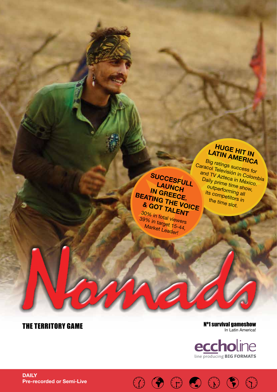# **huge hit in LATIN AMERICA**

Big ratings success for Caracol Televisión in Colombia and TV Azteca in México. Daily prime time show, outperforming all its competitors in the time slot.

**SUCCESFULL LAUNCH in GREECE. Beating the voice & got talent** 30% in total viewers

39% in target 15-44, Market Leader!

### THE TERRITORY GAME

Nº1 survival gameshow In Latin America!



 $\textcircled{\tiny{7}}\hspace{0.9cm}\textcircled{\tiny{8}}\hspace{0.9cm}\textcircled{\tiny{9}}\hspace{0.9cm}\textcircled{\tiny{9}}\hspace{0.9cm}\textcircled{\tiny{9}}\hspace{0.9cm}\textcircled{\tiny{9}}$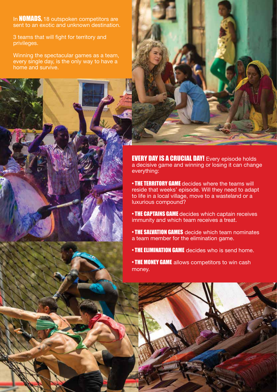In **NOMADS**, 18 outspoken competitors are sent to an exotic and unknown destination.

3 teams that will fight for territory and privileges.

Winning the spectacular games as a team, every single day, is the only way to have a home and survive.

> EVERY DAY IS A CRUCIAL DAY! Every episode holds a decisive game and winning or losing it can change everything:

• THE TERRITORY GAME decides where the teams will reside that weeks' episode. Will they need to adapt to life in a local village, move to a wasteland or a luxurious compound?

• THE CAPTAINS GAME decides which captain receives immunity and which team receives a treat.

• THE SALVATION GAMES decide which team nominates a team member for the elimination game.

- **THE ELIMINATION GAME** decides who is send home.
- THE MONEY GAME allows competitors to win cash money.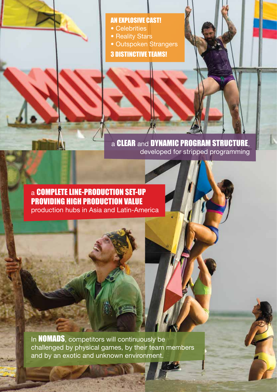## an explosive casT!

- Celebrities
- Reality Stars
- Outspoken Strangers
- 3 DISTINCTIVE TEAMS!

a **CLEAR** and **DYNAMIC PROGRAM STRUCTURE,** developed for stripped programming

a complete line-production set-up providing high production value production hubs in Asia and Latin-America

In **NOMADS**, competitors will continuously be challenged by physical games, by their team members and by an exotic and unknown environment.